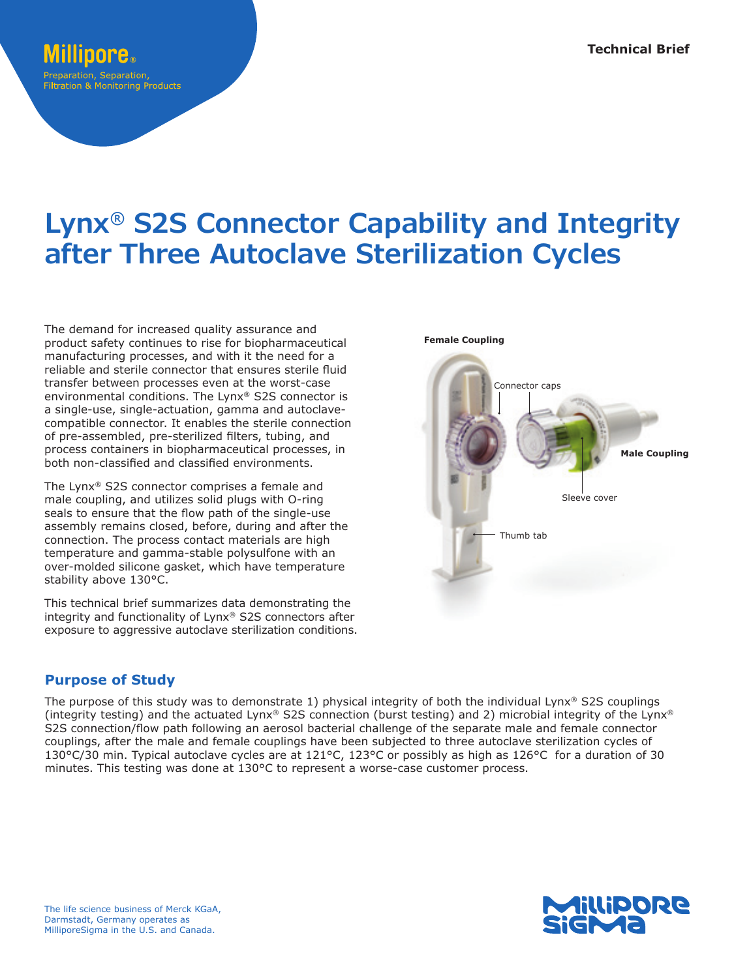# reparation, Separation. **Filtration & Monitoring Products**

# **Lynx® S2S Connector Capability and Integrity after Three Autoclave Sterilization Cycles**

The demand for increased quality assurance and product safety continues to rise for biopharmaceutical manufacturing processes, and with it the need for a reliable and sterile connector that ensures sterile fluid transfer between processes even at the worst-case environmental conditions. The Lynx® S2S connector is a single-use, single-actuation, gamma and autoclavecompatible connector. It enables the sterile connection of pre-assembled, pre-sterilized filters, tubing, and process containers in biopharmaceutical processes, in both non-classified and classified environments.

The Lynx® S2S connector comprises a female and male coupling, and utilizes solid plugs with O-ring seals to ensure that the flow path of the single-use assembly remains closed, before, during and after the connection. The process contact materials are high temperature and gamma-stable polysulfone with an over-molded silicone gasket, which have temperature stability above 130°C.

This technical brief summarizes data demonstrating the integrity and functionality of Lynx® S2S connectors after exposure to aggressive autoclave sterilization conditions.

# **Purpose of Study**

The purpose of this study was to demonstrate 1) physical integrity of both the individual Lynx® S2S couplings (integrity testing) and the actuated Lynx® S2S connection (burst testing) and 2) microbial integrity of the Lynx® S2S connection/flow path following an aerosol bacterial challenge of the separate male and female connector couplings, after the male and female couplings have been subjected to three autoclave sterilization cycles of 130°C/30 min. Typical autoclave cycles are at 121°C, 123°C or possibly as high as 126°C for a duration of 30 minutes. This testing was done at 130°C to represent a worse-case customer process.



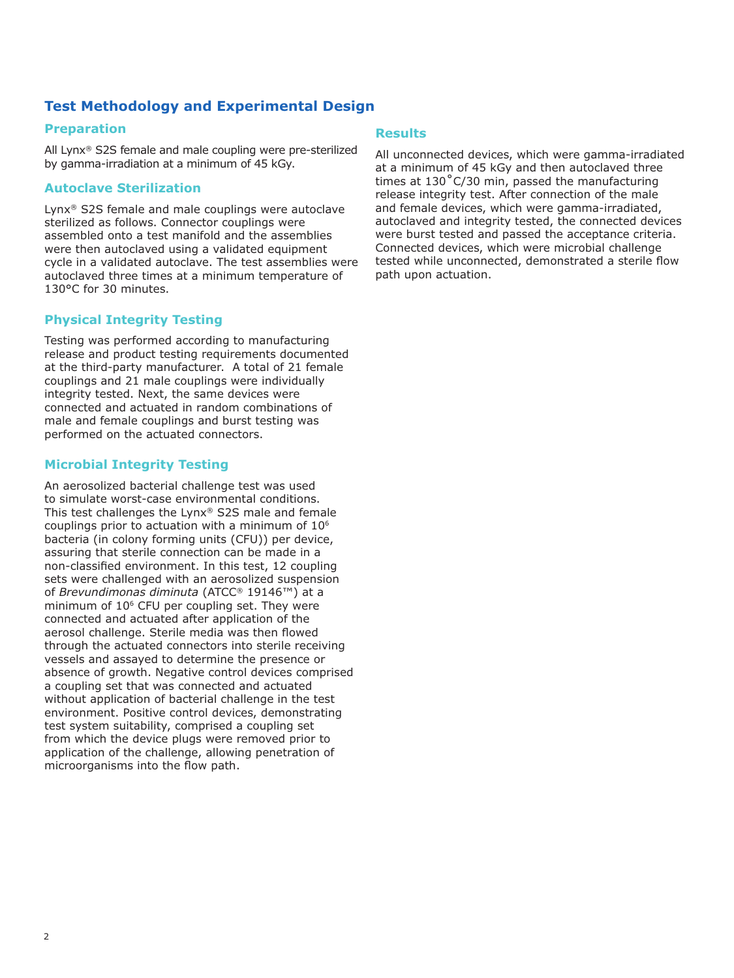# **Test Methodology and Experimental Design**

#### **Preparation**

All Lynx® S2S female and male coupling were pre-sterilized by gamma-irradiation at a minimum of 45 kGy.

#### **Autoclave Sterilization**

Lynx® S2S female and male couplings were autoclave sterilized as follows. Connector couplings were assembled onto a test manifold and the assemblies were then autoclaved using a validated equipment cycle in a validated autoclave. The test assemblies were autoclaved three times at a minimum temperature of 130°C for 30 minutes.

### **Physical Integrity Testing**

Testing was performed according to manufacturing release and product testing requirements documented at the third-party manufacturer. A total of 21 female couplings and 21 male couplings were individually integrity tested. Next, the same devices were connected and actuated in random combinations of male and female couplings and burst testing was performed on the actuated connectors.

#### **Microbial Integrity Testing**

An aerosolized bacterial challenge test was used to simulate worst-case environmental conditions. This test challenges the Lynx® S2S male and female couplings prior to actuation with a minimum of 106 bacteria (in colony forming units (CFU)) per device, assuring that sterile connection can be made in a non-classified environment. In this test, 12 coupling sets were challenged with an aerosolized suspension of *Brevundimonas diminuta* (ATCC® 19146™) at a minimum of 106 CFU per coupling set. They were connected and actuated after application of the aerosol challenge. Sterile media was then flowed through the actuated connectors into sterile receiving vessels and assayed to determine the presence or absence of growth. Negative control devices comprised a coupling set that was connected and actuated without application of bacterial challenge in the test environment. Positive control devices, demonstrating test system suitability, comprised a coupling set from which the device plugs were removed prior to application of the challenge, allowing penetration of microorganisms into the flow path.

#### **Results**

All unconnected devices, which were gamma-irradiated at a minimum of 45 kGy and then autoclaved three times at 130˚C/30 min, passed the manufacturing release integrity test. After connection of the male and female devices, which were gamma-irradiated, autoclaved and integrity tested, the connected devices were burst tested and passed the acceptance criteria. Connected devices, which were microbial challenge tested while unconnected, demonstrated a sterile flow path upon actuation.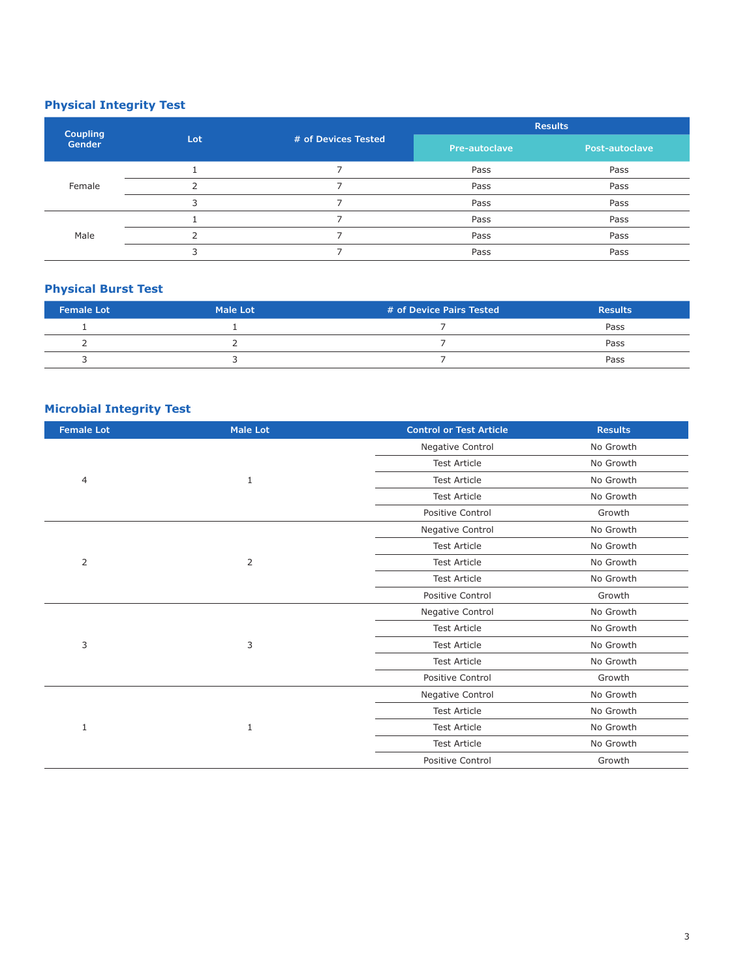# **Physical Integrity Test**

| <b>Coupling</b><br>Gender | Lot | # of Devices Tested | <b>Results</b>       |                |
|---------------------------|-----|---------------------|----------------------|----------------|
|                           |     |                     | <b>Pre-autoclave</b> | Post-autoclave |
| Female                    |     |                     | Pass                 | Pass           |
|                           |     |                     | Pass                 | Pass           |
|                           | っ   |                     | Pass                 | Pass           |
| Male                      |     |                     | Pass                 | Pass           |
|                           |     |                     | Pass                 | Pass           |
|                           |     |                     | Pass                 | Pass           |

## **Physical Burst Test**

| <b>Female Lot</b> | <b>Male Lot</b> | # of Device Pairs Tested | <b>Results</b> |
|-------------------|-----------------|--------------------------|----------------|
|                   |                 |                          | Pass           |
|                   |                 |                          | Pass           |
|                   |                 |                          | Pass           |

# **Microbial Integrity Test**

| Negative Control<br>No Growth<br><b>Test Article</b><br>No Growth<br><b>Test Article</b><br>No Growth<br>$\overline{4}$<br>1<br><b>Test Article</b><br>No Growth<br>Positive Control<br>Growth<br>Negative Control<br>No Growth<br><b>Test Article</b><br>No Growth<br>2<br>2<br><b>Test Article</b><br>No Growth<br><b>Test Article</b><br>No Growth<br>Positive Control<br>Growth<br>Negative Control<br>No Growth<br><b>Test Article</b><br>No Growth<br>3<br>3<br><b>Test Article</b><br>No Growth<br>No Growth<br><b>Test Article</b> | <b>Female Lot</b> | <b>Male Lot</b> | <b>Control or Test Article</b>                                                                            | <b>Results</b> |
|--------------------------------------------------------------------------------------------------------------------------------------------------------------------------------------------------------------------------------------------------------------------------------------------------------------------------------------------------------------------------------------------------------------------------------------------------------------------------------------------------------------------------------------------|-------------------|-----------------|-----------------------------------------------------------------------------------------------------------|----------------|
|                                                                                                                                                                                                                                                                                                                                                                                                                                                                                                                                            |                   |                 |                                                                                                           |                |
|                                                                                                                                                                                                                                                                                                                                                                                                                                                                                                                                            |                   |                 |                                                                                                           |                |
|                                                                                                                                                                                                                                                                                                                                                                                                                                                                                                                                            |                   |                 |                                                                                                           |                |
|                                                                                                                                                                                                                                                                                                                                                                                                                                                                                                                                            |                   |                 |                                                                                                           |                |
|                                                                                                                                                                                                                                                                                                                                                                                                                                                                                                                                            |                   |                 |                                                                                                           |                |
|                                                                                                                                                                                                                                                                                                                                                                                                                                                                                                                                            |                   |                 |                                                                                                           |                |
|                                                                                                                                                                                                                                                                                                                                                                                                                                                                                                                                            |                   |                 |                                                                                                           |                |
|                                                                                                                                                                                                                                                                                                                                                                                                                                                                                                                                            |                   |                 |                                                                                                           |                |
|                                                                                                                                                                                                                                                                                                                                                                                                                                                                                                                                            |                   |                 |                                                                                                           |                |
|                                                                                                                                                                                                                                                                                                                                                                                                                                                                                                                                            |                   |                 |                                                                                                           |                |
|                                                                                                                                                                                                                                                                                                                                                                                                                                                                                                                                            |                   |                 |                                                                                                           |                |
|                                                                                                                                                                                                                                                                                                                                                                                                                                                                                                                                            |                   |                 |                                                                                                           |                |
|                                                                                                                                                                                                                                                                                                                                                                                                                                                                                                                                            |                   |                 |                                                                                                           |                |
|                                                                                                                                                                                                                                                                                                                                                                                                                                                                                                                                            |                   |                 |                                                                                                           |                |
|                                                                                                                                                                                                                                                                                                                                                                                                                                                                                                                                            |                   |                 | Positive Control<br>Negative Control<br><b>Test Article</b><br><b>Test Article</b><br><b>Test Article</b> | Growth         |
| No Growth                                                                                                                                                                                                                                                                                                                                                                                                                                                                                                                                  |                   | 1               |                                                                                                           |                |
| No Growth                                                                                                                                                                                                                                                                                                                                                                                                                                                                                                                                  |                   |                 |                                                                                                           |                |
| No Growth<br>$\mathbf{1}$                                                                                                                                                                                                                                                                                                                                                                                                                                                                                                                  |                   |                 |                                                                                                           |                |
| No Growth                                                                                                                                                                                                                                                                                                                                                                                                                                                                                                                                  |                   |                 |                                                                                                           |                |
| Positive Control<br>Growth                                                                                                                                                                                                                                                                                                                                                                                                                                                                                                                 |                   |                 |                                                                                                           |                |